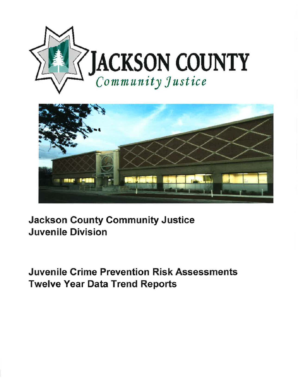



Jackson County Community Justice Juvenile Division

Juvenile Crime Prevention **Risk** Assessments Twelve Year Data Trend Reports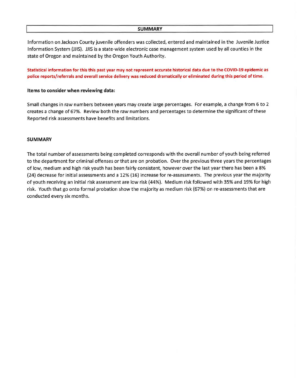## **SUMMARY**

Information on Jackson County juvenile offenders was collected, entered and maintained in the Juvenile Justice Information System (JJIS). JJIS is a state-wide electronic case management system used by all counties in the state of Oregon and maintained by the Oregon Youth Authority.

**Statistical information for this this past year may not represent accurate historical data due to the COVID-19 epidemic as police reports/referrals and overall service delivery was reduced dramatically or eliminated during this period of time.** 

## **Items to consider when reviewing data:**

Small changes in raw numbers between years may create large percentages. For example, a change from 6 to 2 creates a change of 67%. Review both the raw numbers and percentages to determine the significant of these Reported risk assessments have benefits and limitations.

## **SUMMARY**

The total number of assessments being completed corresponds with the overall number of youth being referred to the department for criminal offenses or that are on probation. Over the previous three years the percentages of low, medium and high risk youth has been fairly consistent, however over the last year there has been a 8% (24) decrease for initial assessments and a 12% (16) increase for re-assessments. The previous year the majority of youth receiving an initial risk assessment are low risk (44%). Medium risk followed with 35% and 19% for high risk. Youth that go onto formal probation show the majority as medium risk {67%) on re-assessments that are conducted every six months.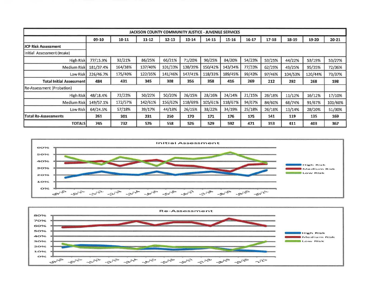| <b>JACKSON COUNTY COMMUNITY JUSTICE - JUVENILE SERVICES</b> |           |         |           |           |         |         |         |        |           |         |         |           |
|-------------------------------------------------------------|-----------|---------|-----------|-----------|---------|---------|---------|--------|-----------|---------|---------|-----------|
|                                                             | 09-10     | 10-11   | $11 - 12$ | $12 - 13$ | 13-14   | 14-15   | 15-16   | 16-17  | $17 - 18$ | 18-19   | 19-20   | $20 - 21$ |
| <b>JCP Risk Assessment</b>                                  |           |         |           |           |         |         |         |        |           |         |         |           |
| Initial Assessment (Intake)                                 |           |         |           |           |         |         |         |        |           |         |         |           |
| <b>High Risk</b>                                            | 77/15.9%  | 92/21%  | 86/25%    | 66/21%    | 71/20%  | 90/25%  | 84/20%  | 54/23% | 53/25%    | 44/22%  | 53/19%  | 53/27%    |
| <b>Medium Risk</b>                                          | 181/37.4% | 164/38% | 137/40%   | 101/33%   | 138/39% | 150/42% | 143/34% | 77/33% | 62/29%    | 49/25%  | 95/35%  | 72/36%    |
| Low Risk                                                    | 226/46.7% | 175/40% | 122/35%   | 141/46%   | 147/41% | 118/33% | 189/45% | 99/43% | 97/46%    | 104/53% | 120/44% | 73/37%    |
| <b>Total Initial Assessment</b>                             | 484       | 431     | 345       | 308       | 356     | 358     | 416     | 269    | 212       | 292     | 268     | 198       |
| Re-Assessment (Probation)                                   |           |         |           |           |         |         |         |        |           |         |         |           |
| <b>High Risk</b>                                            | 48/18.4%  | 72/23%  | 50/22%    | 50/20%    | 26/15%  | 28/16%  | 24/14%  | 21/15% | 26/18%    | 11/12%  | 16/12%  | 17/10%    |
| <b>Medium Risk</b>                                          | 149/57.1% | 172/57% | 142/61%   | 156/62%   | 118/69% | 105/61% | 118/67% | 94/67% | 84/60%    | 68/74%  | 91/67%  | 101/60%   |
| Low Risk                                                    | 64/24.5%  | 57/18%  | 39/17%    | 44/18%    | 26/15%  | 38/22%  | 34/19%  | 25/18% | 26/18%    | 13/14%  | 28/20%  | 51/30%    |
| <b>Total Re-Assessments</b>                                 | 261       | 301     | 231       | 250       | 170     | 171     | 176     | 175    | 141       | 119     | 135     | 169       |
| <b>TOTALS</b>                                               | 745       | 732     | 576       | 558       | 526     | 529     | 592     | 471    | 353       | 411     | 403     | 367       |



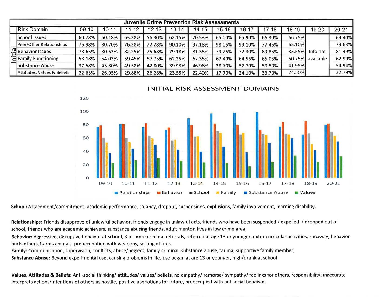| <b>Juvenile Crime Prevention Risk Assessments</b> |        |        |        |           |          |        |        |          |           |        |                  |           |  |
|---------------------------------------------------|--------|--------|--------|-----------|----------|--------|--------|----------|-----------|--------|------------------|-----------|--|
| Risk Domain                                       | 09-10  | 10-11  | 11-12  | $12 - 13$ | $3 - 14$ | 14-15  | 15-16  | $6 - 17$ | $17 - 18$ | 18-19  | 19-20            | $20 - 21$ |  |
| School Issues                                     | 60.78% | 60.18% | 63.38% | 56.30%    | 62.15%   | 70.53% | 65.00% | 65.90%   | 66.30%    | 66.75% |                  | 69.40%    |  |
| Peer/Other Relationships                          | 76.98% | 80.70% | 76.28% | 72.28%    | 90.10%   | 97.18% | 98.05% | 99.10%   | 77.45%    | 65.10% |                  | 79.63%    |  |
| Behavior Issues                                   | 78.65% | 80.63% | 82.25% | 75.68%    | 79.18%   | 81.35% | 79.25% | 72.30%   | 89.85%    | 85.55% | Info not         | 81.49%    |  |
| '근Family Functioning                              | 53.18% | 54.03% | 59.45% | 57.75%    | 62.25%   | 67.35% | 67.40% | 64.55%   | 65.05%    |        | 50.75% available | 62.90%    |  |
| Substance Abuse                                   | 37.58% | 43.80% | 49.58% | 42.80%    | 39.93%   | 46.98% | 38.70% | 52.70%   | 59.50%    | 41.95% |                  | 54.94%    |  |
| Attitudes, Values & Beliefs                       | 22.63% | 26.95% | 29.88% | 26.28%    | 23.55%   | 22.40% | 17.70% | 24.10%   | 33.70%    | 24.50% |                  | 32.79%    |  |

INITIAL RISK ASSESSMENT DOMAINS



**School:** Attachment/commitment, academic performance, truancy, dropout, suspensions, explusions, family involvement, learning disability.

**Relationships:** Friends disapprove of unlawful behavior, friends engage in unlawful acts, friends who have been suspended/ expelled / dropped out of school, friends who are academic achievers, substance abusing friends, adult mentor, lives in low crime area.

**Behavior:** Aggressive, disruptive behaivor at school, 3 or more criminal referrals, referred at age 13 or younger, extra-curricular activities, runaway, behavior hurts others, harms animals, preoccupation with weapons, setting of fires.

**Family:** Communication, supervision, conflicts, abuse/neglect, family criminal, substance abuse, tauma, supportive family member,

**Substance Abuse:** Beyond experimental use, causing problems in life, use began at are 13 or younger, high/drunk at school

**Values, Attitudes** & **Beliefs:** Anti-social thinking/ attitudes/ values/ beliefs, no empathy/ remorse/ sympathy/ feelings for others, responsibility, inaccurate interprets actions/intentions of others as hostile, positive aspriations for future, preoccupied with antisocial behaivor.